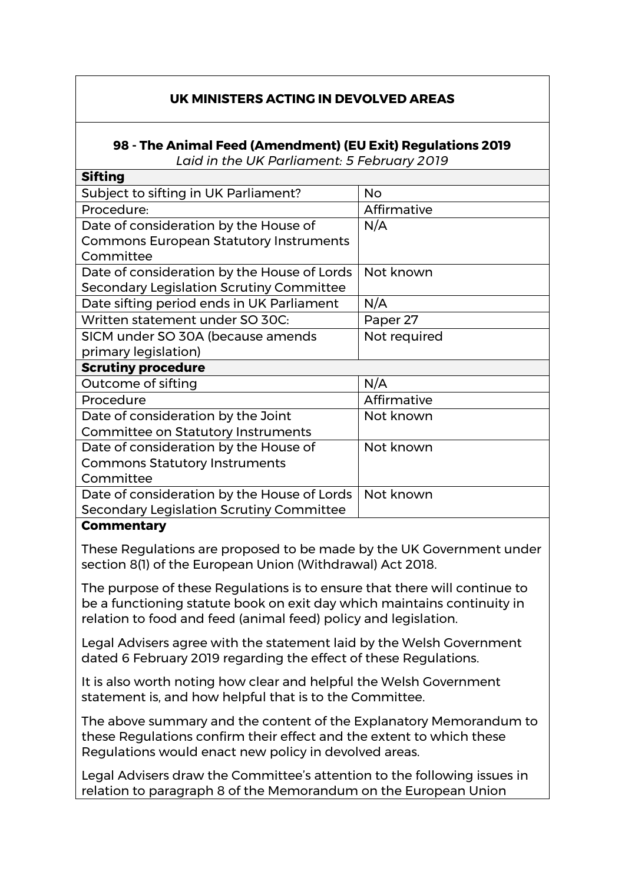## **UK MINISTERS ACTING IN DEVOLVED AREAS**

## **98 - The Animal Feed (Amendment) (EU Exit) Regulations 2019** *Laid in the UK Parliament: 5 February 2019*

| энинд                                         |              |
|-----------------------------------------------|--------------|
| Subject to sifting in UK Parliament?          | <b>No</b>    |
| Procedure:                                    | Affirmative  |
| Date of consideration by the House of         | N/A          |
| <b>Commons European Statutory Instruments</b> |              |
| Committee                                     |              |
| Date of consideration by the House of Lords   | Not known    |
| Secondary Legislation Scrutiny Committee      |              |
| Date sifting period ends in UK Parliament     | N/A          |
| Written statement under SO 30C:               | Paper 27     |
| SICM under SO 30A (because amends             | Not required |
| primary legislation)                          |              |
| <b>Scrutiny procedure</b>                     |              |
| Outcome of sifting                            | N/A          |
| Procedure                                     | Affirmative  |
| Date of consideration by the Joint            | Not known    |
| <b>Committee on Statutory Instruments</b>     |              |
| Date of consideration by the House of         | Not known    |
| <b>Commons Statutory Instruments</b>          |              |
| Committee                                     |              |
| Date of consideration by the House of Lords   | Not known    |
| Secondary Legislation Scrutiny Committee      |              |
|                                               |              |

## **Commentary**

**Sifting** 

These Regulations are proposed to be made by the UK Government under section 8(1) of the European Union (Withdrawal) Act 2018.

The purpose of these Regulations is to ensure that there will continue to be a functioning statute book on exit day which maintains continuity in relation to food and feed (animal feed) policy and legislation.

Legal Advisers agree with the statement laid by the Welsh Government dated 6 February 2019 regarding the effect of these Regulations.

It is also worth noting how clear and helpful the Welsh Government statement is, and how helpful that is to the Committee.

The above summary and the content of the Explanatory Memorandum to these Regulations confirm their effect and the extent to which these Regulations would enact new policy in devolved areas.

Legal Advisers draw the Committee's attention to the following issues in relation to paragraph 8 of the Memorandum on the European Union